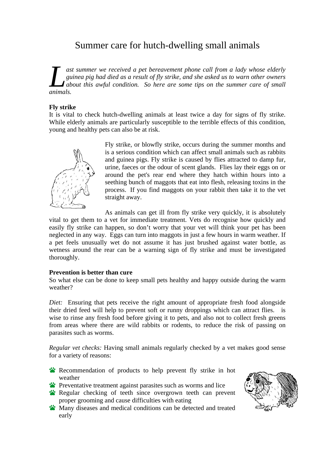## Summer care for hutch-dwelling small animals

*ast summer we received a pet bereavement phone call from a lady whose elderly guinea pig had died as a result of fly strike, and she asked us to warn other owners about this awful condition. So here are some tips on the summer care of small* **L** asi<br>gu gu<br>animals.

## **Fly strike**

It is vital to check hutch-dwelling animals at least twice a day for signs of fly strike. While elderly animals are particularly susceptible to the terrible effects of this condition, young and healthy pets can also be at risk.



Fly strike, or blowfly strike, occurs during the summer months and is a serious condition which can affect small animals such as rabbits and guinea pigs. Fly strike is caused by flies attracted to damp fur, urine, faeces or the odour of scent glands. Flies lay their eggs on or around the pet's rear end where they hatch within hours into a seething bunch of maggots that eat into flesh, releasing toxins in the process. If you find maggots on your rabbit then take it to the vet straight away.

As animals can get ill from fly strike very quickly, it is absolutely

vital to get them to a vet for immediate treatment. Vets do recognise how quickly and easily fly strike can happen, so don't worry that your vet will think your pet has been neglected in any way. Eggs can turn into maggots in just a few hours in warm weather. If a pet feels unusually wet do not assume it has just brushed against water bottle, as wetness around the rear can be a warning sign of fly strike and must be investigated thoroughly.

## **Prevention is better than cure**

So what else can be done to keep small pets healthy and happy outside during the warm weather?

*Diet:* Ensuring that pets receive the right amount of appropriate fresh food alongside their dried feed will help to prevent soft or runny droppings which can attract flies. is wise to rinse any fresh food before giving it to pets, and also not to collect fresh greens from areas where there are wild rabbits or rodents, to reduce the risk of passing on parasites such as worms.

*Regular vet checks:* Having small animals regularly checked by a vet makes good sense for a variety of reasons:

Recommendation of products to help prevent fly strike in hot weather

- **Preventative treatment against parasites such as worms and lice**
- Regular checking of teeth since overgrown teeth can prevent proper grooming and cause difficulties with eating
- **W** Many diseases and medical conditions can be detected and treated early